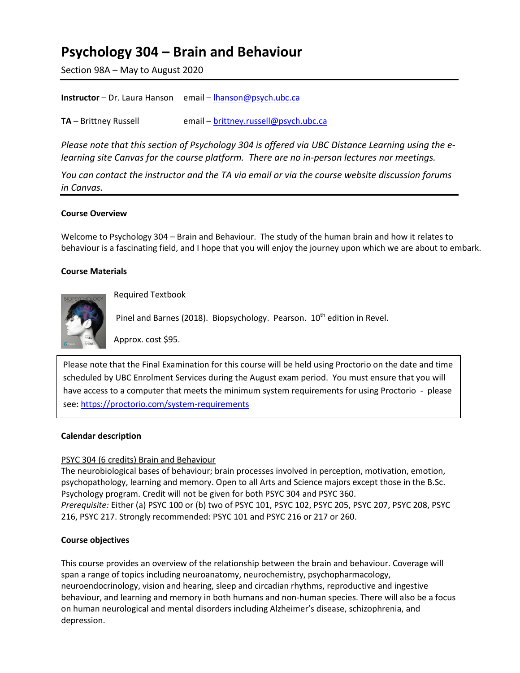# **Psychology 304 – Brain and Behaviour**

Section 98A – May to August 2020

| <b>Instructor</b> – Dr. Laura Hanson email – lhanson@psych.ubc.ca |
|-------------------------------------------------------------------|
|                                                                   |

**TA** – Brittney Russell email – **[brittney.russell@psych.ubc.ca](mailto:brittney.russell@psych.ubc.ca)** 

*Please note that this section of Psychology 304 is offered via UBC Distance Learning using the elearning site Canvas for the course platform. There are no in-person lectures nor meetings.* 

*You can contact the instructor and the TA via email or via the course website discussion forums in Canvas.* 

#### **Course Overview**

Welcome to Psychology 304 – Brain and Behaviour. The study of the human brain and how it relates to behaviour is a fascinating field, and I hope that you will enjoy the journey upon which we are about to embark.

#### **Course Materials**



Required Textbook

Pinel and Barnes (2018). Biopsychology. Pearson. 10<sup>th</sup> edition in Revel.

Approx. cost \$95.

Please note that the Final Examination for this course will be held using Proctorio on the date and time scheduled by UBC Enrolment Services during the August exam period. You must ensure that you will have access to a computer that meets the minimum system requirements for using Proctorio - please see: <https://proctorio.com/system-requirements>

#### **Calendar description**

#### PSYC 304 (6 credits) Brain and Behaviour

The neurobiological bases of behaviour; brain processes involved in perception, motivation, emotion, psychopathology, learning and memory. Open to all Arts and Science majors except those in the B.Sc. Psychology program. Credit will not be given for both PSYC 304 and PSYC 360. *Prerequisite:* Either (a) PSYC 100 or (b) two of PSYC 101, PSYC 102, PSYC 205, PSYC 207, PSYC 208, PSYC 216, PSYC 217. Strongly recommended: PSYC 101 and PSYC 216 or 217 or 260.

#### **Course objectives**

This course provides an overview of the relationship between the brain and behaviour. Coverage will span a range of topics including neuroanatomy, neurochemistry, psychopharmacology, neuroendocrinology, vision and hearing, sleep and circadian rhythms, reproductive and ingestive behaviour, and learning and memory in both humans and non-human species. There will also be a focus on human neurological and mental disorders including Alzheimer's disease, schizophrenia, and depression.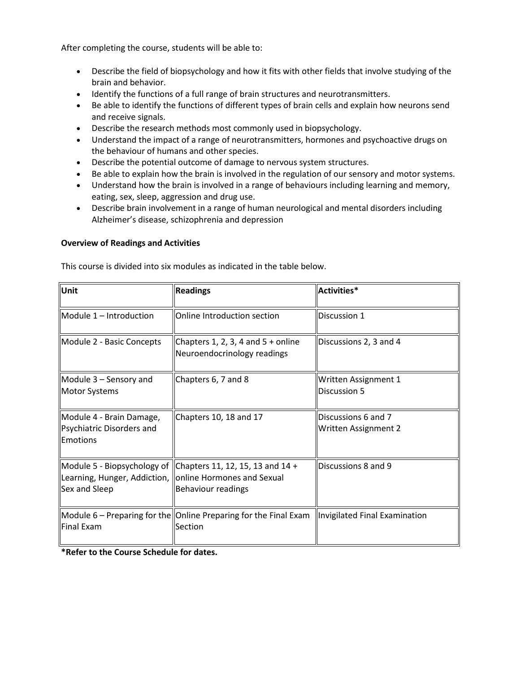After completing the course, students will be able to:

- Describe the field of biopsychology and how it fits with other fields that involve studying of the brain and behavior.
- Identify the functions of a full range of brain structures and neurotransmitters.
- Be able to identify the functions of different types of brain cells and explain how neurons send and receive signals.
- Describe the research methods most commonly used in biopsychology.
- Understand the impact of a range of neurotransmitters, hormones and psychoactive drugs on the behaviour of humans and other species.
- Describe the potential outcome of damage to nervous system structures.
- Be able to explain how the brain is involved in the regulation of our sensory and motor systems.
- Understand how the brain is involved in a range of behaviours including learning and memory, eating, sex, sleep, aggression and drug use.
- Describe brain involvement in a range of human neurological and mental disorders including Alzheimer's disease, schizophrenia and depression

#### **Overview of Readings and Activities**

This course is divided into six modules as indicated in the table below.

| Unit                                                              | <b>Readings</b>                                                                                                      | Activities*                                 |
|-------------------------------------------------------------------|----------------------------------------------------------------------------------------------------------------------|---------------------------------------------|
| Module 1 - Introduction                                           | Online Introduction section                                                                                          | Discussion 1                                |
| Module 2 - Basic Concepts                                         | Chapters 1, 2, 3, 4 and $5 +$ online<br>Neuroendocrinology readings                                                  | Discussions 2, 3 and 4                      |
| $\vert$ Module 3 – Sensory and<br><b>Motor Systems</b>            | Chapters 6, 7 and 8                                                                                                  | Written Assignment 1<br>Discussion 5        |
| Module 4 - Brain Damage,<br>Psychiatric Disorders and<br>Emotions | Chapters 10, 18 and 17                                                                                               | Discussions 6 and 7<br>Written Assignment 2 |
| Learning, Hunger, Addiction,<br>Sex and Sleep                     | Module 5 - Biopsychology of $ $ Chapters 11, 12, 15, 13 and 14 +<br>online Hormones and Sexual<br>Behaviour readings | Discussions 8 and 9                         |
| Final Exam                                                        | Module 6 – Preparing for the Online Preparing for the Final Exam   Invigilated Final Examination<br>Section          |                                             |

**\*Refer to the Course Schedule for dates.**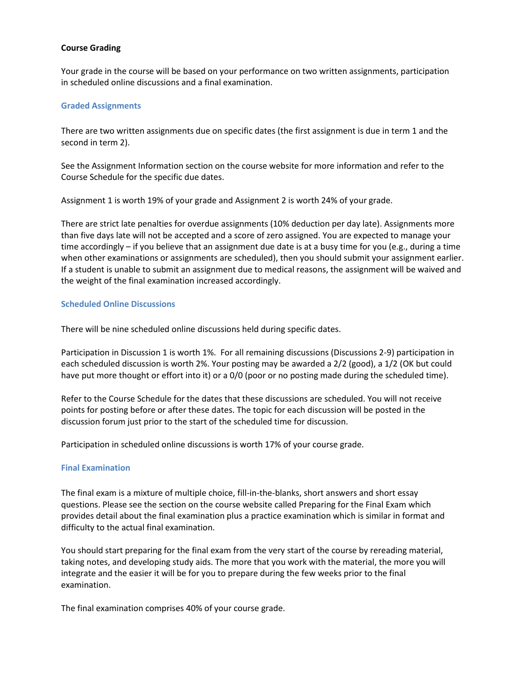#### **Course Grading**

Your grade in the course will be based on your performance on two written assignments, participation in scheduled online discussions and a final examination.

#### **Graded Assignments**

There are two written assignments due on specific dates (the first assignment is due in term 1 and the second in term 2).

See the Assignment Information section on the course website for more information and refer to the Course Schedule for the specific due dates.

Assignment 1 is worth 19% of your grade and Assignment 2 is worth 24% of your grade.

There are strict late penalties for overdue assignments (10% deduction per day late). Assignments more than five days late will not be accepted and a score of zero assigned. You are expected to manage your time accordingly – if you believe that an assignment due date is at a busy time for you (e.g., during a time when other examinations or assignments are scheduled), then you should submit your assignment earlier. If a student is unable to submit an assignment due to medical reasons, the assignment will be waived and the weight of the final examination increased accordingly.

#### **Scheduled Online Discussions**

There will be nine scheduled online discussions held during specific dates.

Participation in Discussion 1 is worth 1%. For all remaining discussions (Discussions 2-9) participation in each scheduled discussion is worth 2%. Your posting may be awarded a 2/2 (good), a 1/2 (OK but could have put more thought or effort into it) or a 0/0 (poor or no posting made during the scheduled time).

Refer to the Course Schedule for the dates that these discussions are scheduled. You will not receive points for posting before or after these dates. The topic for each discussion will be posted in the discussion forum just prior to the start of the scheduled time for discussion.

Participation in scheduled online discussions is worth 17% of your course grade.

#### **Final Examination**

The final exam is a mixture of multiple choice, fill-in-the-blanks, short answers and short essay questions. Please see the section on the course website called Preparing for the Final Exam which provides detail about the final examination plus a practice examination which is similar in format and difficulty to the actual final examination.

You should start preparing for the final exam from the very start of the course by rereading material, taking notes, and developing study aids. The more that you work with the material, the more you will integrate and the easier it will be for you to prepare during the few weeks prior to the final examination.

The final examination comprises 40% of your course grade.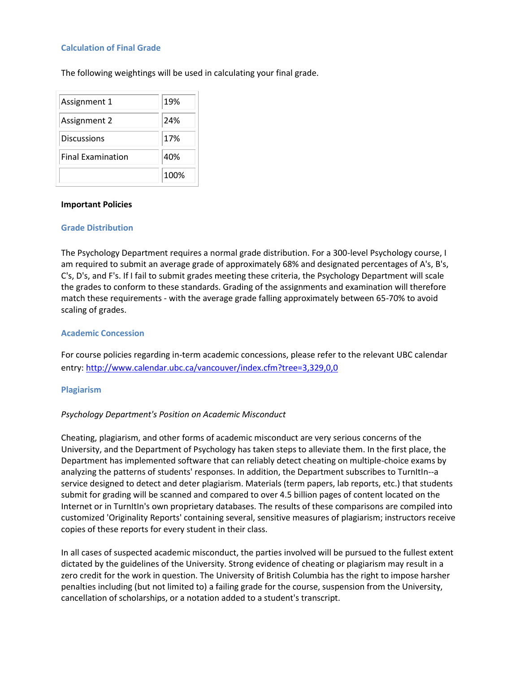#### **Calculation of Final Grade**

The following weightings will be used in calculating your final grade.

| Assignment 1             | 19%  |
|--------------------------|------|
| Assignment 2             | 24%  |
| <b>Discussions</b>       | 17%  |
| <b>Final Examination</b> | 40%  |
|                          | 100% |

#### **Important Policies**

#### **Grade Distribution**

The Psychology Department requires a normal grade distribution. For a 300-level Psychology course, I am required to submit an average grade of approximately 68% and designated percentages of A's, B's, C's, D's, and F's. If I fail to submit grades meeting these criteria, the Psychology Department will scale the grades to conform to these standards. Grading of the assignments and examination will therefore match these requirements - with the average grade falling approximately between 65-70% to avoid scaling of grades.

#### **Academic Concession**

For course policies regarding in-term academic concessions, please refer to the relevant UBC calendar entry:<http://www.calendar.ubc.ca/vancouver/index.cfm?tree=3,329,0,0>

#### **Plagiarism**

#### *Psychology Department's Position on Academic Misconduct*

Cheating, plagiarism, and other forms of academic misconduct are very serious concerns of the University, and the Department of Psychology has taken steps to alleviate them. In the first place, the Department has implemented software that can reliably detect cheating on multiple-choice exams by analyzing the patterns of students' responses. In addition, the Department subscribes to TurnItIn--a service designed to detect and deter plagiarism. Materials (term papers, lab reports, etc.) that students submit for grading will be scanned and compared to over 4.5 billion pages of content located on the Internet or in TurnItIn's own proprietary databases. The results of these comparisons are compiled into customized 'Originality Reports' containing several, sensitive measures of plagiarism; instructors receive copies of these reports for every student in their class.

In all cases of suspected academic misconduct, the parties involved will be pursued to the fullest extent dictated by the guidelines of the University. Strong evidence of cheating or plagiarism may result in a zero credit for the work in question. The University of British Columbia has the right to impose harsher penalties including (but not limited to) a failing grade for the course, suspension from the University, cancellation of scholarships, or a notation added to a student's transcript.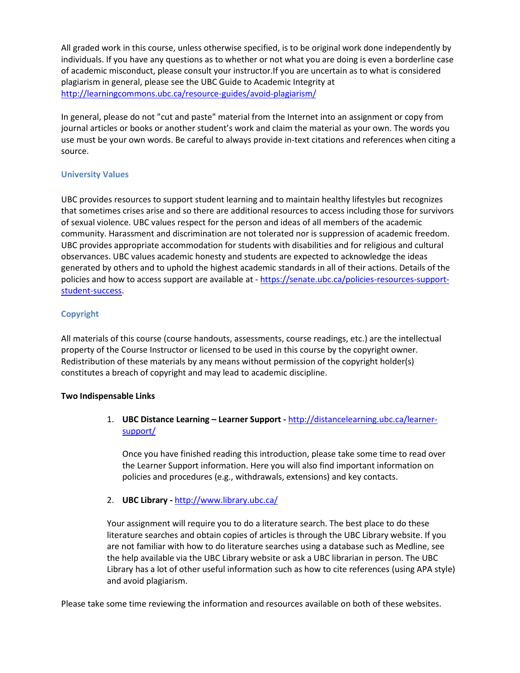All graded work in this course, unless otherwise specified, is to be original work done independently by individuals. If you have any questions as to whether or not what you are doing is even a borderline case of academic misconduct, please consult your instructor.If you are uncertain as to what is considered plagiarism in general, please see the UBC Guide to Academic Integrity at <http://learningcommons.ubc.ca/resource-guides/avoid-plagiarism/>

In general, please do not "cut and paste" material from the Internet into an assignment or copy from journal articles or books or another student's work and claim the material as your own. The words you use must be your own words. Be careful to always provide in-text citations and references when citing a source.

### **University Values**

UBC provides resources to support student learning and to maintain healthy lifestyles but recognizes that sometimes crises arise and so there are additional resources to access including those for survivors of sexual violence. UBC values respect for the person and ideas of all members of the academic community. Harassment and discrimination are not tolerated nor is suppression of academic freedom. UBC provides appropriate accommodation for students with disabilities and for religious and cultural observances. UBC values academic honesty and students are expected to acknowledge the ideas generated by others and to uphold the highest academic standards in all of their actions. Details of the policies and how to access support are available at - [https://senate.ubc.ca/policies-resources-support](https://senate.ubc.ca/policies-resources-support-student-success)[student-success.](https://senate.ubc.ca/policies-resources-support-student-success)

## **Copyright**

All materials of this course (course handouts, assessments, course readings, etc.) are the intellectual property of the Course Instructor or licensed to be used in this course by the copyright owner. Redistribution of these materials by any means without permission of the copyright holder(s) constitutes a breach of copyright and may lead to academic discipline.

#### **Two Indispensable Links**

1. **UBC Distance Learning – Learner Support -** [http://distancelearning.ubc.ca/learner](http://distancelearning.ubc.ca/learner-support/)[support/](http://distancelearning.ubc.ca/learner-support/)

Once you have finished reading this introduction, please take some time to read over the Learner Support information. Here you will also find important information on policies and procedures (e.g., withdrawals, extensions) and key contacts.

2. **UBC Library -** <http://www.library.ubc.ca/>

Your assignment will require you to do a literature search. The best place to do these literature searches and obtain copies of articles is through the UBC Library website. If you are not familiar with how to do literature searches using a database such as Medline, see the help available via the UBC Library website or ask a UBC librarian in person. The UBC Library has a lot of other useful information such as how to cite references (using APA style) and avoid plagiarism.

Please take some time reviewing the information and resources available on both of these websites.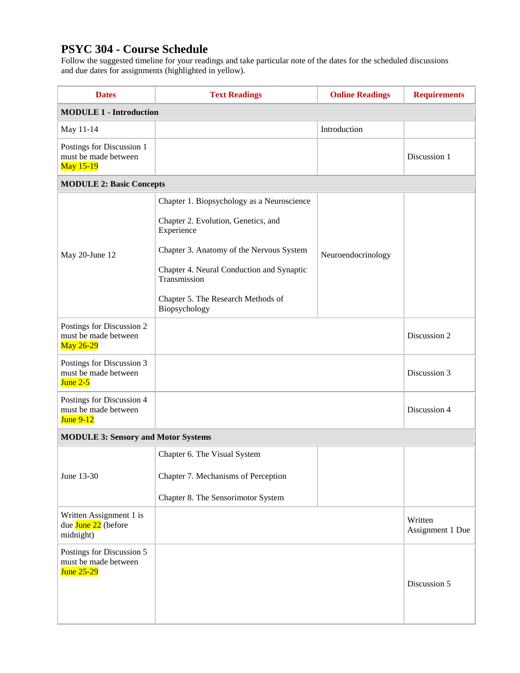# **PSYC 304 - Course Schedule**

Follow the suggested timeline for your readings and take particular note of the dates for the scheduled discussions and due dates for assignments (highlighted in yellow).

| <b>Dates</b>                                                           | <b>Text Readings</b>                                                                                                                                                                                                                                            | <b>Online Readings</b> | <b>Requirements</b>         |  |  |
|------------------------------------------------------------------------|-----------------------------------------------------------------------------------------------------------------------------------------------------------------------------------------------------------------------------------------------------------------|------------------------|-----------------------------|--|--|
| <b>MODULE 1 - Introduction</b>                                         |                                                                                                                                                                                                                                                                 |                        |                             |  |  |
| May 11-14                                                              |                                                                                                                                                                                                                                                                 | Introduction           |                             |  |  |
| Postings for Discussion 1<br>must be made between<br>May 15-19         |                                                                                                                                                                                                                                                                 |                        | Discussion 1                |  |  |
| <b>MODULE 2: Basic Concepts</b>                                        |                                                                                                                                                                                                                                                                 |                        |                             |  |  |
| May 20-June 12                                                         | Chapter 1. Biopsychology as a Neuroscience<br>Chapter 2. Evolution, Genetics, and<br>Experience<br>Chapter 3. Anatomy of the Nervous System<br>Chapter 4. Neural Conduction and Synaptic<br>Transmission<br>Chapter 5. The Research Methods of<br>Biopsychology | Neuroendocrinology     |                             |  |  |
| Postings for Discussion 2<br>must be made between<br>May 26-29         |                                                                                                                                                                                                                                                                 |                        | Discussion 2                |  |  |
| Postings for Discussion 3<br>must be made between<br>June $2-5$        |                                                                                                                                                                                                                                                                 |                        | Discussion 3                |  |  |
| Postings for Discussion 4<br>must be made between<br><b>June 9-12</b>  |                                                                                                                                                                                                                                                                 |                        | Discussion 4                |  |  |
| <b>MODULE 3: Sensory and Motor Systems</b>                             |                                                                                                                                                                                                                                                                 |                        |                             |  |  |
| June 13-30                                                             | Chapter 6. The Visual System<br>Chapter 7. Mechanisms of Perception<br>Chapter 8. The Sensorimotor System                                                                                                                                                       |                        |                             |  |  |
| Written Assignment 1 is<br>due June 22 (before<br>midnight)            |                                                                                                                                                                                                                                                                 |                        | Written<br>Assignment 1 Due |  |  |
| Postings for Discussion 5<br>must be made between<br><b>June 25-29</b> |                                                                                                                                                                                                                                                                 |                        | Discussion 5                |  |  |